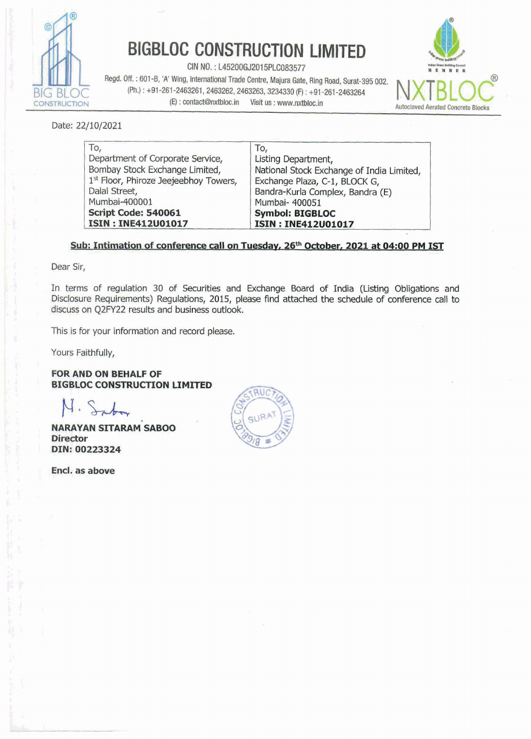

# **BIGBLOC CONSTRUCTION LIMITED**

**CIN NO.** : **L45200GJ2015PLC083577 x~nuem** 

**Regd. Off.** : **601 -0, 'A' Wing,** International **Trade Centre, Majura Gate, Rlng Road, Surat-395 002.**  (Ph.) : +91-261-2463261, 2463262, 2463263, 3234330 (F) : +91-261-2463264 **Autoclaved Aerated Concrete Blocks**<br> **Autoclaved Aerated Concrete Blocks** 



Date: **22/10/2021** 

| To,                                   | To,                                       |  |
|---------------------------------------|-------------------------------------------|--|
| Department of Corporate Service,      | Listing Department,                       |  |
| Bombay Stock Exchange Limited,        | National Stock Exchange of India Limited, |  |
| 1st Floor, Phiroze Jeejeebhoy Towers, | Exchange Plaza, C-1, BLOCK G,             |  |
| Dalal Street,                         | Bandra-Kurla Complex, Bandra (E)          |  |
| Mumbai-400001                         | Mumbai- 400051                            |  |
| Script Code: 540061                   | <b>Symbol: BIGBLOC</b>                    |  |
| <b>ISIN: INE412U01017</b>             | <b>ISIN: INE412U01017</b>                 |  |

#### Sub: Intimation of conference call on Tuesday, 26<sup>th</sup> October, 2021 at 04:00 PM IST

Dear **Sir,** 

**In terms of regulation 30 of Securities and Exchange Board** of **India (Listing Obligations** and Disclosure Requirements) Regulations, 2015, please find attached the schedule of conference call to **discuss** on **Q2FY22 results** and **business outlook.** 

**This is for your** information **and record please.** 

Yours Faithfully,

**FOR AND ON BEHALF OF BIGBLOC CONSTRUCTION LIMITED** 

 $4.5<sub>rd</sub>$ 

, **NARAYAN SITARAM~SABOO Director** I **IDIN: 00223324** 

Encl. as above